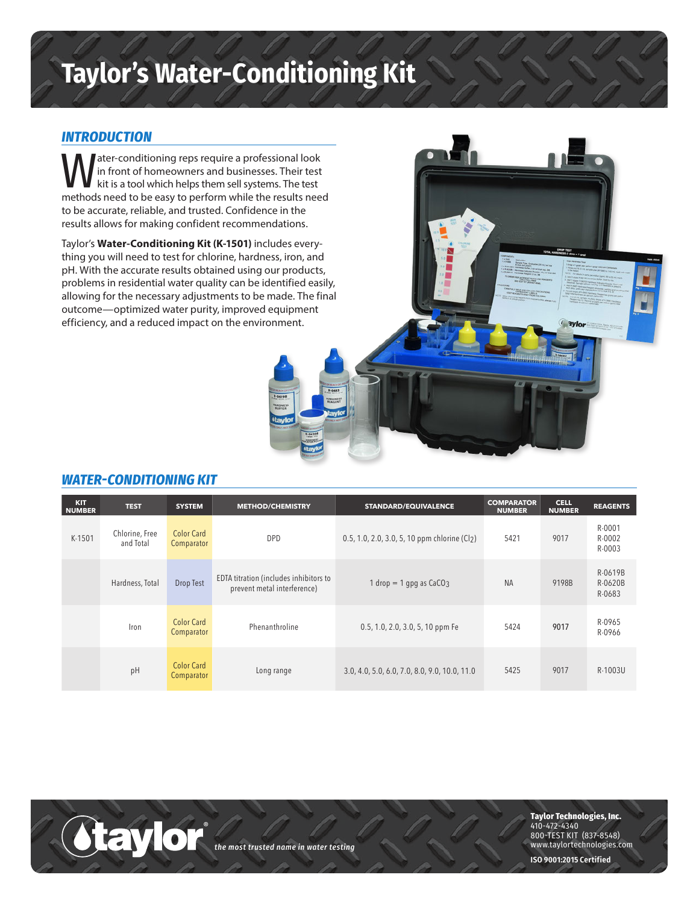## **Taylor's Water-Conditioning Kit**

## *INTRODUCTION*

Mater-conditioning reps require a professional look<br>in front of homeowners and businesses. Their test<br>methods need to be easy to perform while the results nee in front of homeowners and businesses. Their test kit is a tool which helps them sell systems. The test methods need to be easy to perform while the results need to be accurate, reliable, and trusted. Confidence in the results allows for making confident recommendations.

Taylor's **Water-Conditioning Kit (K-1501)** includes everything you will need to test for chlorine, hardness, iron, and pH. With the accurate results obtained using our products, problems in residential water quality can be identified easily, allowing for the necessary adjustments to be made. The final outcome—optimized water purity, improved equipment efficiency, and a reduced impact on the environment.

## *WATER-CONDITIONING KIT*

| <b>KIT</b><br><b>NUMBER</b> | <b>TEST</b>                 | <b>SYSTEM</b>                   | <b>METHOD/CHEMISTRY</b>                                               | STANDARD/EQUIVALENCE                                        | <b>COMPARATOR</b><br><b>NUMBER</b> | <b>CELL</b><br><b>NUMBER</b> | <b>REAGENTS</b>              |
|-----------------------------|-----------------------------|---------------------------------|-----------------------------------------------------------------------|-------------------------------------------------------------|------------------------------------|------------------------------|------------------------------|
| K-1501                      | Chlorine, Free<br>and Total | <b>Color Card</b><br>Comparator | <b>DPD</b>                                                            | $0.5, 1.0, 2.0, 3.0, 5, 10$ ppm chlorine (Cl <sub>2</sub> ) | 5421                               | 9017                         | R-0001<br>R-0002<br>R-0003   |
|                             | Hardness, Total             | Drop Test                       | EDTA titration (includes inhibitors to<br>prevent metal interference) | $1$ drop = $1$ gpg as CaCO <sub>3</sub>                     | <b>NA</b>                          | 9198B                        | R-0619B<br>R-0620B<br>R-0683 |
|                             | Iron                        | <b>Color Card</b><br>Comparator | Phenanthroline                                                        | $0.5, 1.0, 2.0, 3.0, 5, 10$ ppm Fe                          | 5424                               | 9017                         | R-0965<br>R-0966             |
|                             | pH                          | <b>Color Card</b><br>Comparator | Long range                                                            | 3.0, 4.0, 5.0, 6.0, 7.0, 8.0, 9.0, 10.0, 11.0               | 5425                               | 9017                         | R-1003U                      |



®

**Taylor Technologies, Inc.** 410-472-4340 800-TEST KIT (837-8548) www.taylortechnologies.com

**ISO 9001:2015 Certified**